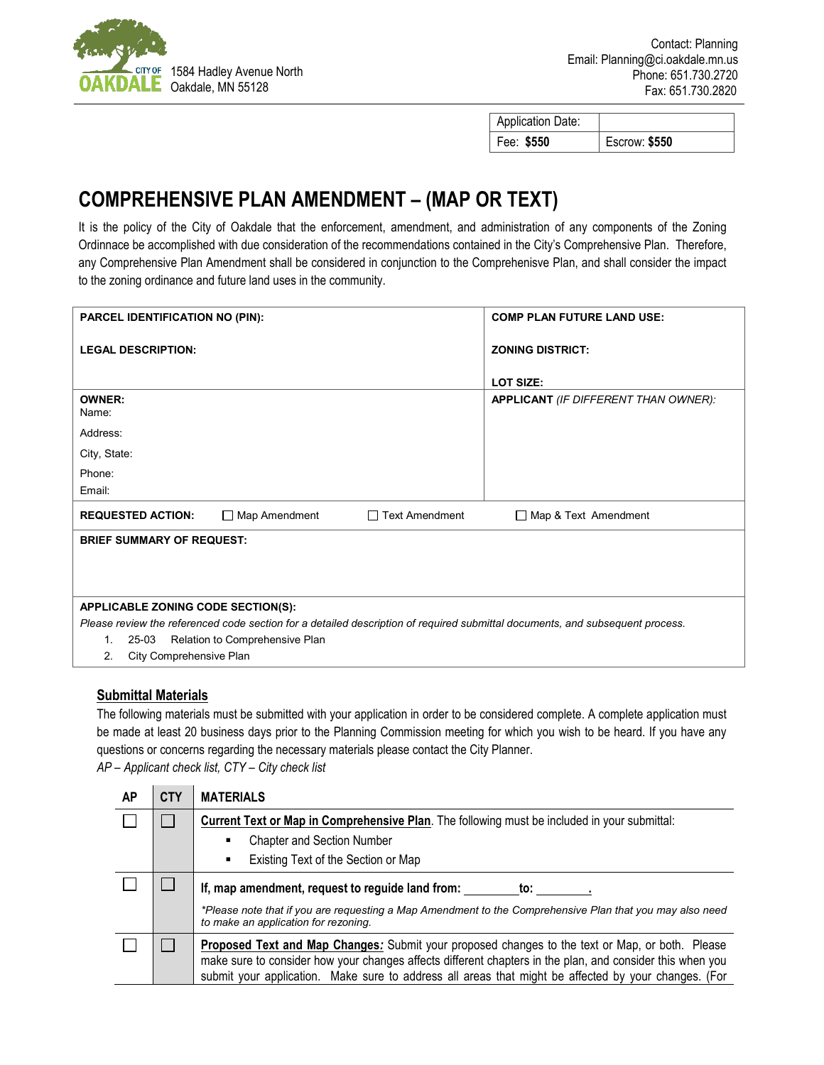

| <b>Application Date:</b> |               |
|--------------------------|---------------|
| Fee: \$550               | Escrow: \$550 |

## **COMPREHENSIVE PLAN AMENDMENT – (MAP OR TEXT)**

It is the policy of the City of Oakdale that the enforcement, amendment, and administration of any components of the Zoning Ordinnace be accomplished with due consideration of the recommendations contained in the City's Comprehensive Plan. Therefore, any Comprehensive Plan Amendment shall be considered in conjunction to the Comprehenisve Plan, and shall consider the impact to the zoning ordinance and future land uses in the community.

| <b>PARCEL IDENTIFICATION NO (PIN):</b>                                                                                        |                                | <b>COMP PLAN FUTURE LAND USE:</b> |                                             |  |
|-------------------------------------------------------------------------------------------------------------------------------|--------------------------------|-----------------------------------|---------------------------------------------|--|
| <b>LEGAL DESCRIPTION:</b>                                                                                                     |                                |                                   | <b>ZONING DISTRICT:</b>                     |  |
|                                                                                                                               |                                |                                   |                                             |  |
|                                                                                                                               |                                |                                   | LOT SIZE:                                   |  |
| <b>OWNER:</b><br>Name:                                                                                                        |                                |                                   | <b>APPLICANT</b> (IF DIFFERENT THAN OWNER): |  |
| Address:                                                                                                                      |                                |                                   |                                             |  |
| City, State:                                                                                                                  |                                |                                   |                                             |  |
| Phone:                                                                                                                        |                                |                                   |                                             |  |
| Email:                                                                                                                        |                                |                                   |                                             |  |
| <b>REQUESTED ACTION:</b>                                                                                                      | Map Amendment                  | $\Box$ Text Amendment             | □ Map & Text Amendment                      |  |
| <b>BRIEF SUMMARY OF REQUEST:</b>                                                                                              |                                |                                   |                                             |  |
|                                                                                                                               |                                |                                   |                                             |  |
|                                                                                                                               |                                |                                   |                                             |  |
|                                                                                                                               |                                |                                   |                                             |  |
| APPLICABLE ZONING CODE SECTION(S):                                                                                            |                                |                                   |                                             |  |
| Please review the referenced code section for a detailed description of required submittal documents, and subsequent process. |                                |                                   |                                             |  |
| 25-03<br>1.                                                                                                                   | Relation to Comprehensive Plan |                                   |                                             |  |
| City Comprehensive Plan<br>2.                                                                                                 |                                |                                   |                                             |  |

## **Submittal Materials**

The following materials must be submitted with your application in order to be considered complete. A complete application must be made at least 20 business days prior to the Planning Commission meeting for which you wish to be heard. If you have any questions or concerns regarding the necessary materials please contact the City Planner. *AP – Applicant check list, CTY – City check list*

| AP | <b>CTY</b> | <b>MATERIALS</b>                                                                                                                                                                                                                                                                                                            |  |
|----|------------|-----------------------------------------------------------------------------------------------------------------------------------------------------------------------------------------------------------------------------------------------------------------------------------------------------------------------------|--|
|    |            | Current Text or Map in Comprehensive Plan. The following must be included in your submittal:                                                                                                                                                                                                                                |  |
|    |            | <b>Chapter and Section Number</b><br>٠                                                                                                                                                                                                                                                                                      |  |
|    |            | Existing Text of the Section or Map<br>٠                                                                                                                                                                                                                                                                                    |  |
|    |            | If, map amendment, request to reguide land from:<br>to:                                                                                                                                                                                                                                                                     |  |
|    |            | *Please note that if you are requesting a Map Amendment to the Comprehensive Plan that you may also need<br>to make an application for rezoning.                                                                                                                                                                            |  |
|    |            | <b>Proposed Text and Map Changes:</b> Submit your proposed changes to the text or Map, or both. Please<br>make sure to consider how your changes affects different chapters in the plan, and consider this when you<br>submit your application. Make sure to address all areas that might be affected by your changes. (For |  |